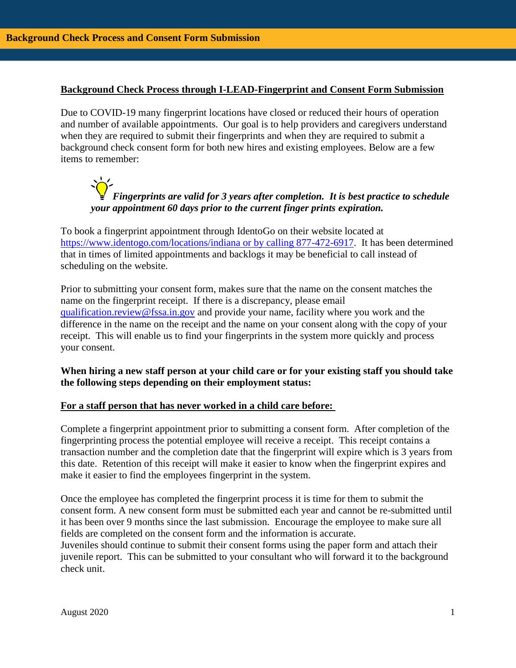### **Background Check Process through I-LEAD-Fingerprint and Consent Form Submission**

Due to COVID-19 many fingerprint locations have closed or reduced their hours of operation and number of available appointments. Our goal is to help providers and caregivers understand when they are required to submit their fingerprints and when they are required to submit a background check consent form for both new hires and existing employees. Below are a few items to remember:

# *Fingerprints are valid for 3 years after completion. It is best practice to schedule your appointment 60 days prior to the current finger prints expiration.*

To book a fingerprint appointment through IdentoGo on their website located at [https://www.identogo.com/locations/indiana or by calling 877-472-6917.](https://www.identogo.com/locations/indiana%20or%20by%20calling%20877-472-6917) It has been determined that in times of limited appointments and backlogs it may be beneficial to call instead of scheduling on the website.

Prior to submitting your consent form, makes sure that the name on the consent matches the name on the fingerprint receipt. If there is a discrepancy, please email [qualification.review@fssa.in.gov](mailto:qualification.review@fssa.in.gov) and provide your name, facility where you work and the difference in the name on the receipt and the name on your consent along with the copy of your receipt. This will enable us to find your fingerprints in the system more quickly and process your consent.

# **When hiring a new staff person at your child care or for your existing staff you should take the following steps depending on their employment status:**

#### **For a staff person that has never worked in a child care before:**

Complete a fingerprint appointment prior to submitting a consent form. After completion of the fingerprinting process the potential employee will receive a receipt. This receipt contains a transaction number and the completion date that the fingerprint will expire which is 3 years from this date. Retention of this receipt will make it easier to know when the fingerprint expires and make it easier to find the employees fingerprint in the system.

Once the employee has completed the fingerprint process it is time for them to submit the consent form. A new consent form must be submitted each year and cannot be re-submitted until it has been over 9 months since the last submission. Encourage the employee to make sure all fields are completed on the consent form and the information is accurate.

Juveniles should continue to submit their consent forms using the paper form and attach their juvenile report. This can be submitted to your consultant who will forward it to the background check unit.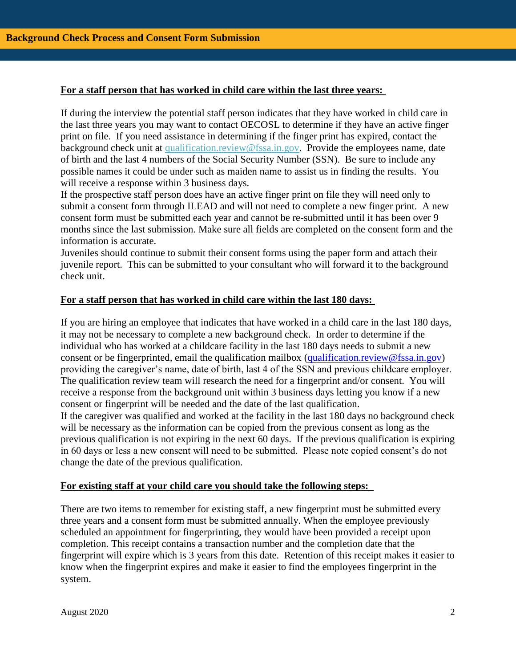# **For a staff person that has worked in child care within the last three years:**

If during the interview the potential staff person indicates that they have worked in child care in the last three years you may want to contact OECOSL to determine if they have an active finger print on file. If you need assistance in determining if the finger print has expired, contact the background check unit at qualification.review@fssa.in.gov. Provide the employees name, date of birth and the last 4 numbers of the Social Security Number (SSN). Be sure to include any possible names it could be under such as maiden name to assist us in finding the results. You will receive a response within 3 business days.

If the prospective staff person does have an active finger print on file they will need only to submit a consent form through ILEAD and will not need to complete a new finger print. A new consent form must be submitted each year and cannot be re-submitted until it has been over 9 months since the last submission. Make sure all fields are completed on the consent form and the information is accurate.

Juveniles should continue to submit their consent forms using the paper form and attach their juvenile report. This can be submitted to your consultant who will forward it to the background check unit.

## **For a staff person that has worked in child care within the last 180 days:**

If you are hiring an employee that indicates that have worked in a child care in the last 180 days, it may not be necessary to complete a new background check. In order to determine if the individual who has worked at a childcare facility in the last 180 days needs to submit a new consent or be fingerprinted, email the qualification mailbox [\(qualification.review@fssa.in.gov\)](mailto:qualification.review@fssa.in.gov) providing the caregiver's name, date of birth, last 4 of the SSN and previous childcare employer. The qualification review team will research the need for a fingerprint and/or consent. You will receive a response from the background unit within 3 business days letting you know if a new consent or fingerprint will be needed and the date of the last qualification. If the caregiver was qualified and worked at the facility in the last 180 days no background check will be necessary as the information can be copied from the previous consent as long as the previous qualification is not expiring in the next 60 days. If the previous qualification is expiring in 60 days or less a new consent will need to be submitted. Please note copied consent's do not change the date of the previous qualification.

#### **For existing staff at your child care you should take the following steps:**

There are two items to remember for existing staff, a new fingerprint must be submitted every three years and a consent form must be submitted annually. When the employee previously scheduled an appointment for fingerprinting, they would have been provided a receipt upon completion. This receipt contains a transaction number and the completion date that the fingerprint will expire which is 3 years from this date. Retention of this receipt makes it easier to know when the fingerprint expires and make it easier to find the employees fingerprint in the system.